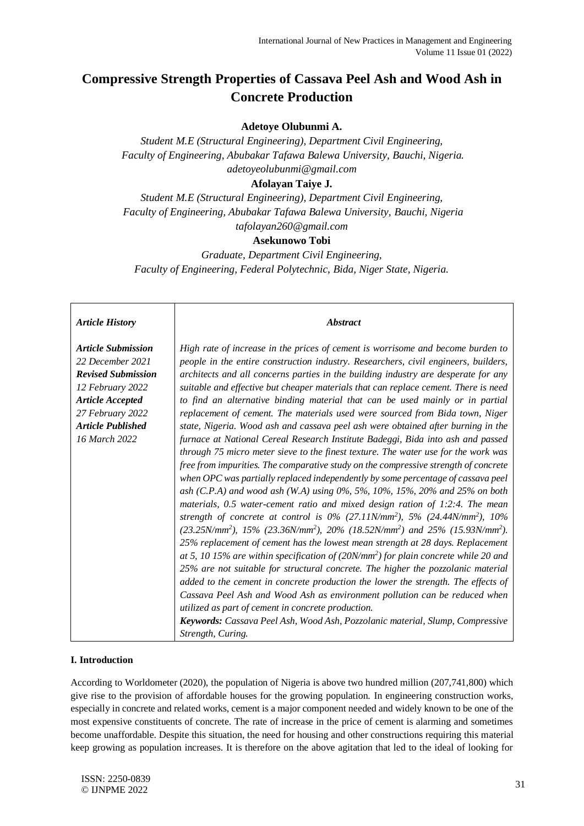# **Compressive Strength Properties of Cassava Peel Ash and Wood Ash in Concrete Production**

## **Adetoye Olubunmi A.**

*Student M.E (Structural Engineering), Department Civil Engineering, Faculty of Engineering, Abubakar Tafawa Balewa University, Bauchi, Nigeria. adetoyeolubunmi@gmail.com*

## **Afolayan Taiye J.**

*Student M.E (Structural Engineering), Department Civil Engineering, Faculty of Engineering, Abubakar Tafawa Balewa University, Bauchi, Nigeria tafolayan260@gmail.com*

## **Asekunowo Tobi**

*Graduate, Department Civil Engineering, Faculty of Engineering, Federal Polytechnic, Bida, Niger State, Nigeria.*

#### *Article History*

*Article Submission 22 December 2021 Revised Submission 12 February 2022 Article Accepted 27 February 2022 Article Published 16 March 2022*

*High rate of increase in the prices of cement is worrisome and become burden to people in the entire construction industry. Researchers, civil engineers, builders, architects and all concerns parties in the building industry are desperate for any suitable and effective but cheaper materials that can replace cement. There is need to find an alternative binding material that can be used mainly or in partial replacement of cement. The materials used were sourced from Bida town, Niger state, Nigeria. Wood ash and cassava peel ash were obtained after burning in the furnace at National Cereal Research Institute Badeggi, Bida into ash and passed through 75 micro meter sieve to the finest texture. The water use for the work was free from impurities. The comparative study on the compressive strength of concrete when OPC was partially replaced independently by some percentage of cassava peel ash (C.P.A) and wood ash (W.A) using 0%, 5%, 10%, 15%, 20% and 25% on both materials, 0.5 water-cement ratio and mixed design ration of 1:2:4. The mean strength of concrete at control is 0% (27.11N/mm<sup>2</sup> ), 5% (24.44N/mm<sup>2</sup> ), 10% (23.25N/mm<sup>2</sup> ), 15% (23.36N/mm<sup>2</sup> ), 20% (18.52N/mm<sup>2</sup> ) and 25% (15.93N/mm<sup>2</sup> ). 25% replacement of cement has the lowest mean strength at 28 days. Replacement at 5, 10 15% are within specification of (20N/mm<sup>2</sup> ) for plain concrete while 20 and 25% are not suitable for structural concrete. The higher the pozzolanic material added to the cement in concrete production the lower the strength. The effects of Cassava Peel Ash and Wood Ash as environment pollution can be reduced when utilized as part of cement in concrete production. Keywords: Cassava Peel Ash, Wood Ash, Pozzolanic material, Slump, Compressive* 

*Abstract*

*Strength, Curing.*

### **I. Introduction**

According to Worldometer (2020), the population of Nigeria is above two hundred million (207,741,800) which give rise to the provision of affordable houses for the growing population. In engineering construction works, especially in concrete and related works, cement is a major component needed and widely known to be one of the most expensive constituents of concrete. The rate of increase in the price of cement is alarming and sometimes become unaffordable. Despite this situation, the need for housing and other constructions requiring this material keep growing as population increases. It is therefore on the above agitation that led to the ideal of looking for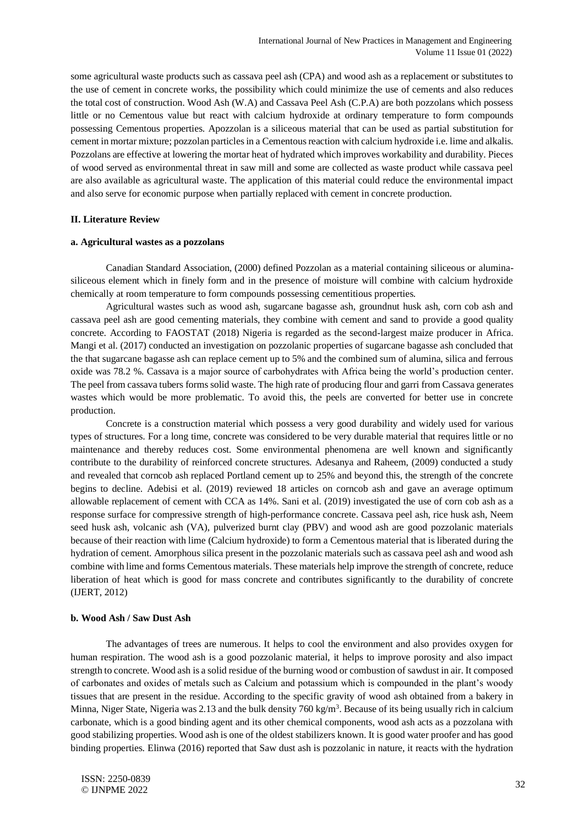some agricultural waste products such as cassava peel ash (CPA) and wood ash as a replacement or substitutes to the use of cement in concrete works, the possibility which could minimize the use of cements and also reduces the total cost of construction. Wood Ash (W.A) and Cassava Peel Ash (C.P.A) are both pozzolans which possess little or no Cementous value but react with calcium hydroxide at ordinary temperature to form compounds possessing Cementous properties. Apozzolan is a siliceous material that can be used as partial substitution for cement in mortar mixture; pozzolan particles in a Cementousreaction with calcium hydroxide i.e. lime and alkalis. Pozzolans are effective at lowering the mortar heat of hydrated which improves workability and durability. Pieces of wood served as environmental threat in saw mill and some are collected as waste product while cassava peel are also available as agricultural waste. The application of this material could reduce the environmental impact and also serve for economic purpose when partially replaced with cement in concrete production.

#### **II. Literature Review**

#### **a. Agricultural wastes as a pozzolans**

Canadian Standard Association, (2000) defined Pozzolan as a material containing siliceous or aluminasiliceous element which in finely form and in the presence of moisture will combine with calcium hydroxide chemically at room temperature to form compounds possessing cementitious properties.

Agricultural wastes such as wood ash, sugarcane bagasse ash, groundnut husk ash, corn cob ash and cassava peel ash are good cementing materials, they combine with cement and sand to provide a good quality concrete. According to FAOSTAT (2018) Nigeria is regarded as the second-largest maize producer in Africa. Mangi et al. (2017) conducted an investigation on pozzolanic properties of sugarcane bagasse ash concluded that the that sugarcane bagasse ash can replace cement up to 5% and the combined sum of alumina, silica and ferrous oxide was 78.2 %. Cassava is a major source of carbohydrates with Africa being the world's production center. The peel from cassava tubers formssolid waste. The high rate of producing flour and garri from Cassava generates wastes which would be more problematic. To avoid this, the peels are converted for better use in concrete production.

Concrete is a construction material which possess a very good durability and widely used for various types of structures. For a long time, concrete was considered to be very durable material that requires little or no maintenance and thereby reduces cost. Some environmental phenomena are well known and significantly contribute to the durability of reinforced concrete structures. Adesanya and Raheem, (2009) conducted a study and revealed that corncob ash replaced Portland cement up to 25% and beyond this, the strength of the concrete begins to decline. Adebisi et al. (2019) reviewed 18 articles on corncob ash and gave an average optimum allowable replacement of cement with CCA as 14%. Sani et al. (2019) investigated the use of corn cob ash as a response surface for compressive strength of high-performance concrete. Cassava peel ash, rice husk ash, Neem seed husk ash, volcanic ash (VA), pulverized burnt clay (PBV) and wood ash are good pozzolanic materials because of their reaction with lime (Calcium hydroxide) to form a Cementous material that is liberated during the hydration of cement. Amorphous silica present in the pozzolanic materials such as cassava peel ash and wood ash combine with lime and forms Cementous materials. These materials help improve the strength of concrete, reduce liberation of heat which is good for mass concrete and contributes significantly to the durability of concrete (IJERT, 2012)

#### **b. Wood Ash / Saw Dust Ash**

The advantages of trees are numerous. It helps to cool the environment and also provides oxygen for human respiration. The wood ash is a good pozzolanic material, it helps to improve porosity and also impact strength to concrete. Wood ash is a solid residue of the burning wood or combustion of sawdust in air. It composed of carbonates and oxides of metals such as Calcium and potassium which is compounded in the plant's woody tissues that are present in the residue. According to the specific gravity of wood ash obtained from a bakery in Minna, Niger State, Nigeria was 2.13 and the bulk density 760 kg/m<sup>3</sup>. Because of its being usually rich in calcium carbonate, which is a good binding agent and its other chemical components, wood ash acts as a pozzolana with good stabilizing properties. Wood ash is one of the oldest stabilizers known. It is good water proofer and has good binding properties. Elinwa (2016) reported that Saw dust ash is pozzolanic in nature, it reacts with the hydration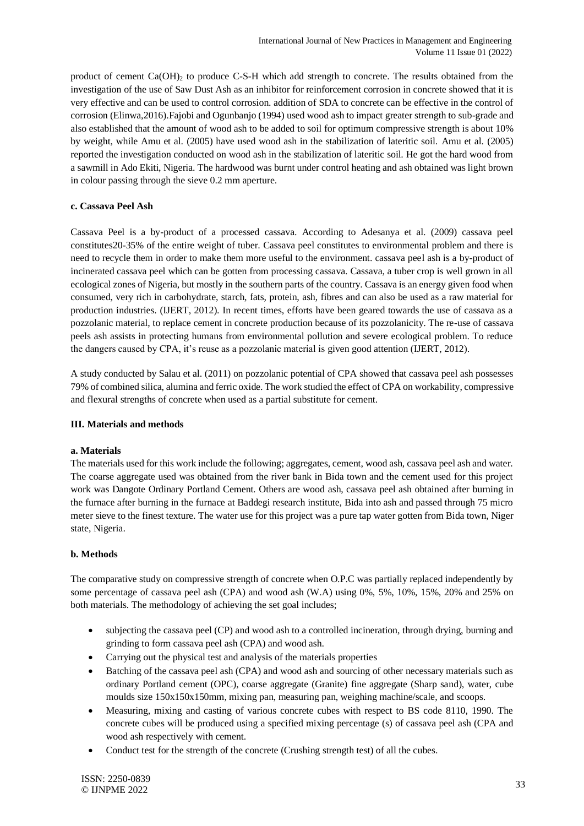product of cement  $Ca(OH)_2$  to produce C-S-H which add strength to concrete. The results obtained from the investigation of the use of Saw Dust Ash as an inhibitor for reinforcement corrosion in concrete showed that it is very effective and can be used to control corrosion. addition of SDA to concrete can be effective in the control of corrosion (Elinwa,2016).Fajobi and Ogunbanjo (1994) used wood ash to impact greater strength to sub-grade and also established that the amount of wood ash to be added to soil for optimum compressive strength is about 10% by weight, while Amu et al. (2005) have used wood ash in the stabilization of lateritic soil. Amu et al. (2005) reported the investigation conducted on wood ash in the stabilization of lateritic soil. He got the hard wood from a sawmill in Ado Ekiti, Nigeria. The hardwood was burnt under control heating and ash obtained was light brown in colour passing through the sieve 0.2 mm aperture.

## **c. Cassava Peel Ash**

Cassava Peel is a by-product of a processed cassava. According to Adesanya et al. (2009) cassava peel constitutes20-35% of the entire weight of tuber. Cassava peel constitutes to environmental problem and there is need to recycle them in order to make them more useful to the environment. cassava peel ash is a by-product of incinerated cassava peel which can be gotten from processing cassava. Cassava, a tuber crop is well grown in all ecological zones of Nigeria, but mostly in the southern parts of the country. Cassava is an energy given food when consumed, very rich in carbohydrate, starch, fats, protein, ash, fibres and can also be used as a raw material for production industries. (IJERT, 2012). In recent times, efforts have been geared towards the use of cassava as a pozzolanic material, to replace cement in concrete production because of its pozzolanicity. The re-use of cassava peels ash assists in protecting humans from environmental pollution and severe ecological problem. To reduce the dangers caused by CPA, it's reuse as a pozzolanic material is given good attention (IJERT, 2012).

A study conducted by Salau et al. (2011) on pozzolanic potential of CPA showed that cassava peel ash possesses 79% of combined silica, alumina and ferric oxide. The work studied the effect of CPA on workability, compressive and flexural strengths of concrete when used as a partial substitute for cement.

### **III. Materials and methods**

### **a. Materials**

The materials used for this work include the following; aggregates, cement, wood ash, cassava peel ash and water. The coarse aggregate used was obtained from the river bank in Bida town and the cement used for this project work was Dangote Ordinary Portland Cement. Others are wood ash, cassava peel ash obtained after burning in the furnace after burning in the furnace at Baddegi research institute, Bida into ash and passed through 75 micro meter sieve to the finest texture. The water use for this project was a pure tap water gotten from Bida town, Niger state, Nigeria.

### **b. Methods**

The comparative study on compressive strength of concrete when O.P.C was partially replaced independently by some percentage of cassava peel ash (CPA) and wood ash (W.A) using 0%, 5%, 10%, 15%, 20% and 25% on both materials. The methodology of achieving the set goal includes;

- subjecting the cassava peel (CP) and wood ash to a controlled incineration, through drying, burning and grinding to form cassava peel ash (CPA) and wood ash.
- Carrying out the physical test and analysis of the materials properties
- Batching of the cassava peel ash (CPA) and wood ash and sourcing of other necessary materials such as ordinary Portland cement (OPC), coarse aggregate (Granite) fine aggregate (Sharp sand), water, cube moulds size 150x150x150mm, mixing pan, measuring pan, weighing machine/scale, and scoops.
- Measuring, mixing and casting of various concrete cubes with respect to BS code 8110, 1990. The concrete cubes will be produced using a specified mixing percentage (s) of cassava peel ash (CPA and wood ash respectively with cement.
- Conduct test for the strength of the concrete (Crushing strength test) of all the cubes.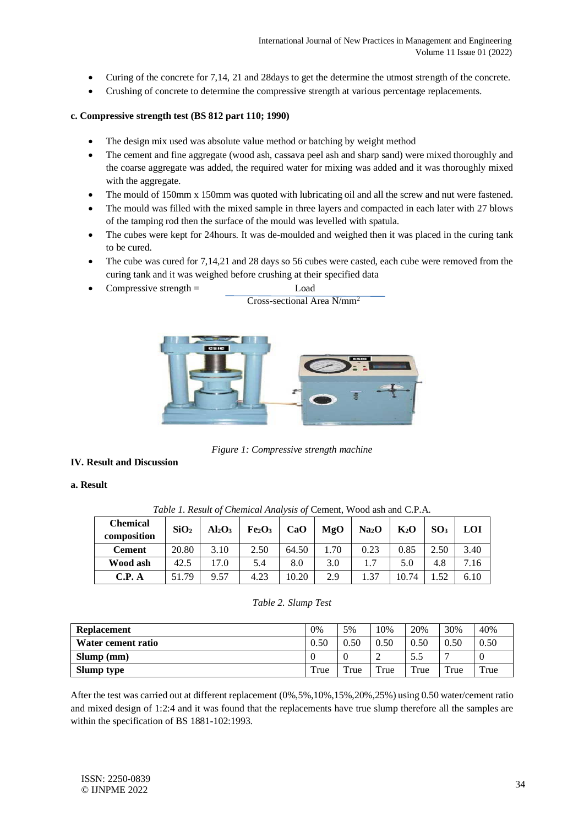- Curing of the concrete for 7,14, 21 and 28days to get the determine the utmost strength of the concrete.
- Crushing of concrete to determine the compressive strength at various percentage replacements.

#### **c. Compressive strength test (BS 812 part 110; 1990)**

- The design mix used was absolute value method or batching by weight method
- The cement and fine aggregate (wood ash, cassava peel ash and sharp sand) were mixed thoroughly and the coarse aggregate was added, the required water for mixing was added and it was thoroughly mixed with the aggregate.
- The mould of 150mm x 150mm was quoted with lubricating oil and all the screw and nut were fastened.
- The mould was filled with the mixed sample in three layers and compacted in each later with 27 blows of the tamping rod then the surface of the mould was levelled with spatula.
- The cubes were kept for 24hours. It was de-moulded and weighed then it was placed in the curing tank to be cured.
- The cube was cured for 7,14,21 and 28 days so 56 cubes were casted, each cube were removed from the curing tank and it was weighed before crushing at their specified data

Cross-sectional Area N/mm<sup>2</sup>

 $Compressive strength =$  Load



*Figure 1: Compressive strength machine*

#### **IV. Result and Discussion**

**a. Result**

| <b>Chemical</b><br>composition | SiO <sub>2</sub> | Al <sub>2</sub> O <sub>3</sub> | Fe <sub>2</sub> O <sub>3</sub> | CaO   | MgO  | Na <sub>2</sub> O | $K_2O$ | SO <sub>3</sub> | LOI  |
|--------------------------------|------------------|--------------------------------|--------------------------------|-------|------|-------------------|--------|-----------------|------|
| <b>Cement</b>                  | 20.80            | 3.10                           | 2.50                           | 64.50 | 1.70 | 0.23              | 0.85   | 2.50            | 3.40 |
| Wood ash                       | 42.5             | 17.0                           | 5.4                            | 8.0   | 3.0  | 1.7               | 5.0    | 4.8             | 7.16 |
| C.P. A                         | 51.79            | 9.57                           | 4.23                           | 10.20 | 2.9  | 1.37              | 10.74  | l.52            | 6.10 |

*Table 1. Result of Chemical Analysis of* Cement, Wood ash and C.P.A.

#### *Table 2. Slump Test*

| <b>Replacement</b> | 0%   | 5%               | 10%  | 20%  | 30%  | 40%  |
|--------------------|------|------------------|------|------|------|------|
| Water cement ratio | 0.50 | 0.50             | 0.50 | 0.50 | 0.50 | 0.50 |
| Slump (mm)         |      |                  |      | 5.5  |      |      |
| Slump type         | True | T <sub>rue</sub> | True | True | True | True |

After the test was carried out at different replacement (0%,5%,10%,15%,20%,25%) using 0.50 water/cement ratio and mixed design of 1:2:4 and it was found that the replacements have true slump therefore all the samples are within the specification of BS 1881-102:1993.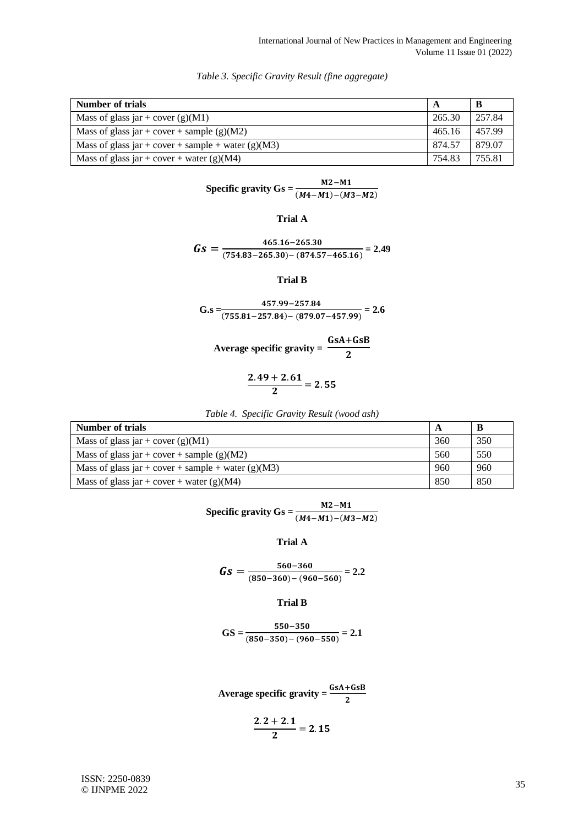| Number of trials                                     |        |        |
|------------------------------------------------------|--------|--------|
| Mass of glass jar + cover $(g)(M1)$                  | 265.30 | 257.84 |
| Mass of glass jar + cover + sample (g)(M2)           | 465.16 | 457.99 |
| Mass of glass jar + cover + sample + water $(g)(M3)$ | 874.57 | 879.07 |
| Mass of glass jar + cover + water (g)(M4)            | 754.83 | 755.81 |

*Table 3. Specific Gravity Result (fine aggregate)*

$$
\text{Specific gravity}\,\text{Gs} = \frac{M2 - M1}{(M4 - M1) - (M3 - M2)}
$$

## **Trial A**

 $Gs = \frac{465.16 - 265.30}{(754.93 - 265.30) \cdot (974.57)}$  $\frac{100110 - 200100}{(754.83 - 265.30) - (874.57 - 465.16)} = 2.49$ 

**Trial B**

$$
G.s = \frac{457.99 - 257.84}{(755.81 - 257.84) - (879.07 - 457.99)} = 2.6
$$

Average specific gravity = 
$$
\frac{GsA + GSB}{2}
$$

$$
\frac{2.49+2.61}{2}=2.55
$$

|  | Table 4. Specific Gravity Result (wood ash) |  |
|--|---------------------------------------------|--|
|  |                                             |  |

| Number of trials                                   | A   |     |
|----------------------------------------------------|-----|-----|
| Mass of glass jar + cover $(g)(M1)$                | 360 | 350 |
| Mass of glass jar + cover + sample (g)(M2)         | 560 | 550 |
| Mass of glass jar + cover + sample + water (g)(M3) | 960 | 960 |
| Mass of glass jar + cover + water (g)(M4)          | 850 | 850 |

$$
\text{Specific gravity}\,\text{Gs} = \frac{M2 - M1}{(M4 - M1) - (M3 - M2)}
$$

**Trial A**

$$
Gs = \frac{560 - 360}{(850 - 360) - (960 - 560)} = 2.2
$$

#### **Trial B**

$$
GS = \frac{550 - 350}{(850 - 350) - (960 - 550)} = 2.1
$$

Average specific gravity = 
$$
\frac{GSA + GSB}{2}
$$

$$
\frac{2.2+2.1}{2}=2.15
$$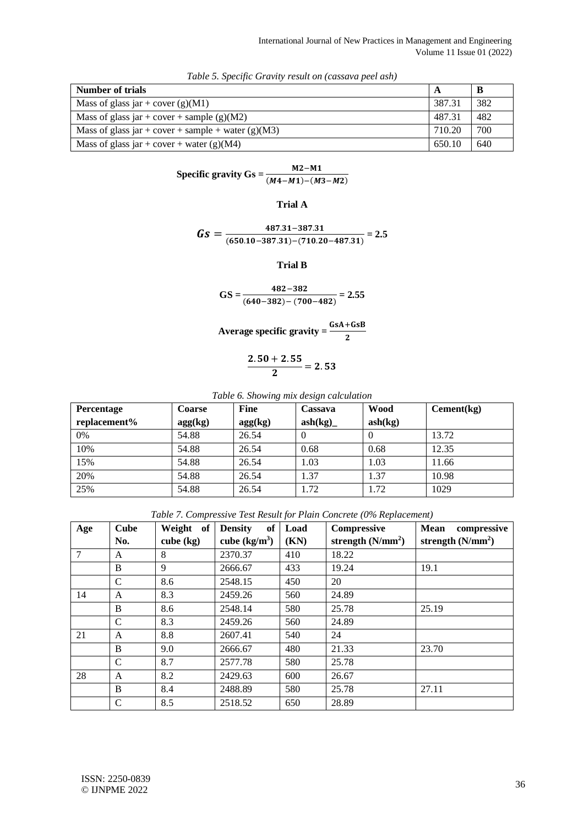| Number of trials                                   |        |     |
|----------------------------------------------------|--------|-----|
| Mass of glass jar + cover $(g)(M1)$                | 387.31 | 382 |
| Mass of glass jar + cover + sample (g)(M2)         | 487.31 | 482 |
| Mass of glass jar + cover + sample + water (g)(M3) | 710.20 | 700 |
| Mass of glass jar + cover + water (g)(M4)          | 650.10 | 640 |

*Table 5. Specific Gravity result on (cassava peel ash)*

**Specific gravity Gs** =  $\frac{M2 - M1}{(M4 - M1) - (M3 - M2)}$ 

**Trial A**

$$
Gs = \frac{487.31 - 387.31}{(650.10 - 387.31) - (710.20 - 487.31)} = 2.5
$$

**Trial B**

$$
GS = \frac{482 - 382}{(640 - 382) - (700 - 482)} = 2.55
$$

Average specific gravity = 
$$
\frac{GsA + GSB}{2}
$$

$$
\frac{2.\,50+2.\,55}{2}=2.\,53
$$

*Table 6. Showing mix design calculation*

| Percentage   | <b>Coarse</b> | <b>Fine</b> | Cassava | <b>Wood</b> | Cement(kg) |
|--------------|---------------|-------------|---------|-------------|------------|
| replacement% | agg(kg)       | agg(kg)     | ash(kg) | ash(kg)     |            |
| 0%           | 54.88         | 26.54       |         | $\theta$    | 13.72      |
| 10%          | 54.88         | 26.54       | 0.68    | 0.68        | 12.35      |
| 15%          | 54.88         | 26.54       | 1.03    | 1.03        | 11.66      |
| 20%          | 54.88         | 26.54       | 1.37    | 1.37        | 10.98      |
| 25%          | 54.88         | 26.54       | 1.72    | 1.72        | 1029       |

*Table 7. Compressive Test Result for Plain Concrete (0% Replacement)*

| Age | <b>Cube</b>  | Weight<br>of | of<br><b>Density</b> | Load | Compressive         | Mean<br>compressive |
|-----|--------------|--------------|----------------------|------|---------------------|---------------------|
|     | No.          | $cube$ (kg)  | cube $(kg/m3)$       | (KN) | strength $(N/mm^2)$ | strength $(N/mm^2)$ |
| 7   | A            | 8            | 2370.37              | 410  | 18.22               |                     |
|     | B            | 9            | 2666.67              | 433  | 19.24               | 19.1                |
|     | $\mathsf{C}$ | 8.6          | 2548.15              | 450  | 20                  |                     |
| 14  | A            | 8.3          | 2459.26              | 560  | 24.89               |                     |
|     | B            | 8.6          | 2548.14              | 580  | 25.78               | 25.19               |
|     | $\mathsf{C}$ | 8.3          | 2459.26              | 560  | 24.89               |                     |
| 21  | A            | 8.8          | 2607.41              | 540  | 24                  |                     |
|     | B            | 9.0          | 2666.67              | 480  | 21.33               | 23.70               |
|     | $\mathsf{C}$ | 8.7          | 2577.78              | 580  | 25.78               |                     |
| 28  | A            | 8.2          | 2429.63              | 600  | 26.67               |                     |
|     | B            | 8.4          | 2488.89              | 580  | 25.78               | 27.11               |
|     | $\mathsf{C}$ | 8.5          | 2518.52              | 650  | 28.89               |                     |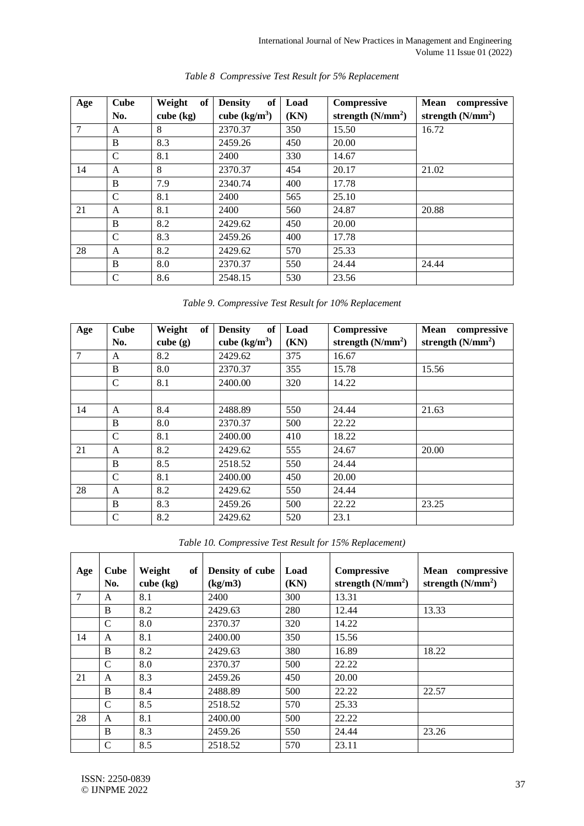| Age | <b>Cube</b>   | Weight<br>of | of<br><b>Density</b> | Load | Compressive         | <b>Mean</b><br>compressive |
|-----|---------------|--------------|----------------------|------|---------------------|----------------------------|
|     | No.           | $cube$ (kg)  | cube $(kg/m^3)$      | (KN) | strength $(N/mm^2)$ | strength $(N/mm^2)$        |
| 7   | A             | 8            | 2370.37              | 350  | 15.50               | 16.72                      |
|     | B             | 8.3          | 2459.26              | 450  | 20.00               |                            |
|     | $\mathcal{C}$ | 8.1          | 2400                 | 330  | 14.67               |                            |
| 14  | A             | 8            | 2370.37              | 454  | 20.17               | 21.02                      |
|     | B             | 7.9          | 2340.74              | 400  | 17.78               |                            |
|     | $\mathcal{C}$ | 8.1          | 2400                 | 565  | 25.10               |                            |
| 21  | A             | 8.1          | 2400                 | 560  | 24.87               | 20.88                      |
|     | B             | 8.2          | 2429.62              | 450  | 20.00               |                            |
|     | $\mathcal{C}$ | 8.3          | 2459.26              | 400  | 17.78               |                            |
| 28  | A             | 8.2          | 2429.62              | 570  | 25.33               |                            |
|     | B             | 8.0          | 2370.37              | 550  | 24.44               | 24.44                      |
|     | C             | 8.6          | 2548.15              | 530  | 23.56               |                            |

## *Table 8 Compressive Test Result for 5% Replacement*

| Table 9. Compressive Test Result for 10% Replacement |  |  |
|------------------------------------------------------|--|--|
|                                                      |  |  |

| Age | <b>Cube</b>   | Weight<br>of | of<br><b>Density</b> | Load | Compressive         | Mean<br>compressive |
|-----|---------------|--------------|----------------------|------|---------------------|---------------------|
|     | No.           | cube $(g)$   | cube $(kg/m^3)$      | (KN) | strength $(N/mm^2)$ | strength $(N/mm^2)$ |
| 7   | A             | 8.2          | 2429.62              | 375  | 16.67               |                     |
|     | B             | 8.0          | 2370.37              | 355  | 15.78               | 15.56               |
|     | $\mathcal{C}$ | 8.1          | 2400.00              | 320  | 14.22               |                     |
|     |               |              |                      |      |                     |                     |
| 14  | A             | 8.4          | 2488.89              | 550  | 24.44               | 21.63               |
|     | B             | 8.0          | 2370.37              | 500  | 22.22               |                     |
|     | $\mathcal{C}$ | 8.1          | 2400.00              | 410  | 18.22               |                     |
| 21  | A             | 8.2          | 2429.62              | 555  | 24.67               | 20.00               |
|     | B             | 8.5          | 2518.52              | 550  | 24.44               |                     |
|     | $\mathsf{C}$  | 8.1          | 2400.00              | 450  | 20.00               |                     |
| 28  | A             | 8.2          | 2429.62              | 550  | 24.44               |                     |
|     | B             | 8.3          | 2459.26              | 500  | 22.22               | 23.25               |
|     | C             | 8.2          | 2429.62              | 520  | 23.1                |                     |

*Table 10. Compressive Test Result for 15% Replacement)*

| Age | <b>Cube</b><br>No. | Weight<br>of<br>$cube$ (kg) | Density of cube<br>(kg/m3) | Load<br>(KN) | Compressive<br>strength $(N/mm^2)$ | Mean compressive<br>strength $(N/mm2)$ |
|-----|--------------------|-----------------------------|----------------------------|--------------|------------------------------------|----------------------------------------|
| 7   | A                  | 8.1                         | 2400                       | 300          | 13.31                              |                                        |
|     | B                  | 8.2                         | 2429.63                    | 280          | 12.44                              | 13.33                                  |
|     | $\mathcal{C}$      | 8.0                         | 2370.37                    | 320          | 14.22                              |                                        |
| 14  | A                  | 8.1                         | 2400.00                    | 350          | 15.56                              |                                        |
|     | B                  | 8.2                         | 2429.63                    | 380          | 16.89                              | 18.22                                  |
|     | $\mathsf{C}$       | 8.0                         | 2370.37                    | 500          | 22.22                              |                                        |
| 21  | $\mathsf{A}$       | 8.3                         | 2459.26                    | 450          | 20.00                              |                                        |
|     | B                  | 8.4                         | 2488.89                    | 500          | 22.22                              | 22.57                                  |
|     | $\mathsf{C}$       | 8.5                         | 2518.52                    | 570          | 25.33                              |                                        |
| 28  | A                  | 8.1                         | 2400.00                    | 500          | 22.22                              |                                        |
|     | B                  | 8.3                         | 2459.26                    | 550          | 24.44                              | 23.26                                  |
|     | $\mathcal{C}$      | 8.5                         | 2518.52                    | 570          | 23.11                              |                                        |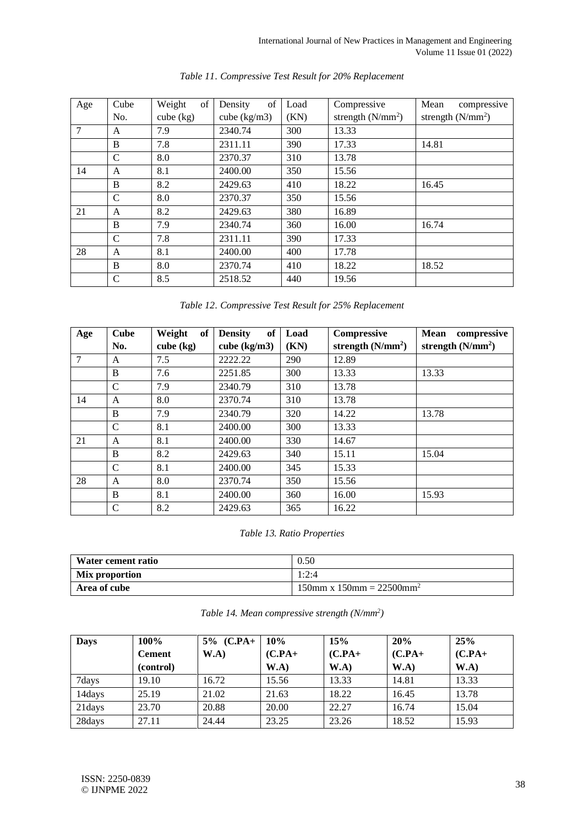| Age | Cube          | of<br>Weight | of<br>Density          | Load | Compressive         | compressive<br>Mean |  |
|-----|---------------|--------------|------------------------|------|---------------------|---------------------|--|
|     | No.           | $cube$ (kg)  | cube $(kg/m3)$<br>(KN) |      | strength $(N/mm^2)$ | strength $(N/mm^2)$ |  |
| 7   | A             | 7.9          | 2340.74                | 300  | 13.33               |                     |  |
|     | B             | 7.8          | 2311.11                | 390  | 17.33               | 14.81               |  |
|     | $\mathcal{C}$ | 8.0          | 2370.37                | 310  | 13.78               |                     |  |
| 14  | A             | 8.1          | 2400.00                | 350  | 15.56               |                     |  |
|     | B             | 8.2          | 2429.63                | 410  | 18.22               | 16.45               |  |
|     | $\mathsf{C}$  | 8.0          | 2370.37                | 350  | 15.56               |                     |  |
| 21  | A             | 8.2          | 2429.63                | 380  | 16.89               |                     |  |
|     | B             | 7.9          | 2340.74                | 360  | 16.00               | 16.74               |  |
|     | $\mathsf{C}$  | 7.8          | 2311.11                | 390  | 17.33               |                     |  |
| 28  | A             | 8.1          | 2400.00                | 400  | 17.78               |                     |  |
|     | B             | 8.0          | 2370.74                | 410  | 18.22               | 18.52               |  |
|     | $\mathcal{C}$ | 8.5          | 2518.52                | 440  | 19.56               |                     |  |

*Table 11. Compressive Test Result for 20% Replacement*

| Table 12. Compressive Test Result for 25% Replacement |  |  |
|-------------------------------------------------------|--|--|
|                                                       |  |  |

| Age | <b>Cube</b>   | of<br>Weight | <b>of</b><br><b>Density</b> | Load | Compressive         | compressive<br>Mean |
|-----|---------------|--------------|-----------------------------|------|---------------------|---------------------|
|     | No.           | $cube$ (kg)  | cube $(kg/m3)$              | (KN) | strength $(N/mm^2)$ | strength $(N/mm^2)$ |
| 7   | A             | 7.5          | 2222.22                     | 290  | 12.89               |                     |
|     | B             | 7.6          | 2251.85                     | 300  | 13.33               | 13.33               |
|     | C             | 7.9          | 2340.79                     | 310  | 13.78               |                     |
| 14  | A             | 8.0          | 2370.74                     | 310  | 13.78               |                     |
|     | B             | 7.9          | 2340.79                     | 320  | 14.22               | 13.78               |
|     | $\mathcal{C}$ | 8.1          | 2400.00                     | 300  | 13.33               |                     |
| 21  | A             | 8.1          | 2400.00                     | 330  | 14.67               |                     |
|     | B             | 8.2          | 2429.63                     | 340  | 15.11               | 15.04               |
|     | $\mathcal{C}$ | 8.1          | 2400.00                     | 345  | 15.33               |                     |
| 28  | A             | 8.0          | 2370.74                     | 350  | 15.56               |                     |
|     | B             | 8.1          | 2400.00                     | 360  | 16.00               | 15.93               |
|     | $\mathsf{C}$  | 8.2          | 2429.63                     | 365  | 16.22               |                     |

## *Table 13. Ratio Properties*

| Water cement ratio | 0.50                                       |  |  |
|--------------------|--------------------------------------------|--|--|
| Mix proportion     | 1:2:4                                      |  |  |
| Area of cube       | $150$ mm x $150$ mm = 22500mm <sup>2</sup> |  |  |

| Table 14. Mean compressive strength (N/mm <sup>2</sup> ) |  |  |
|----------------------------------------------------------|--|--|
|----------------------------------------------------------|--|--|

| <b>Days</b> | 100%          | $5\%$ (C.PA+ | 10%       | 15%       | 20%       | 25%       |
|-------------|---------------|--------------|-----------|-----------|-----------|-----------|
|             | <b>Cement</b> | W.A)         | $(C.PA +$ | $(C.PA+)$ | $(C.PA+)$ | $(C.PA+)$ |
|             | (control)     |              | W.A)      | W.A)      | W.A       | W.A)      |
| 7days       | 19.10         | 16.72        | 15.56     | 13.33     | 14.81     | 13.33     |
| 14days      | 25.19         | 21.02        | 21.63     | 18.22     | 16.45     | 13.78     |
| 21days      | 23.70         | 20.88        | 20.00     | 22.27     | 16.74     | 15.04     |
| 28days      | 27.11         | 24.44        | 23.25     | 23.26     | 18.52     | 15.93     |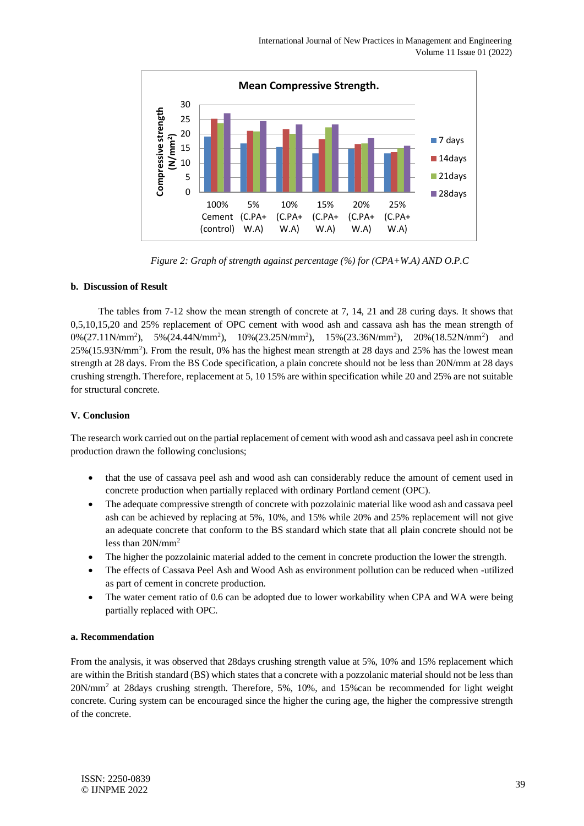

*Figure 2: Graph of strength against percentage (%) for (CPA+W.A) AND O.P.C*

## **b. Discussion of Result**

The tables from 7-12 show the mean strength of concrete at 7, 14, 21 and 28 curing days. It shows that 0,5,10,15,20 and 25% replacement of OPC cement with wood ash and cassava ash has the mean strength of 0%(27.11N/mm<sup>2</sup>), 5%(24.44N/mm<sup>2</sup>), 10%(23.25N/mm<sup>2</sup>), 15%(23.36N/mm<sup>2</sup>), 20%(18.52N/mm<sup>2</sup>) and 25%(15.93N/mm<sup>2</sup>). From the result, 0% has the highest mean strength at 28 days and 25% has the lowest mean strength at 28 days. From the BS Code specification, a plain concrete should not be less than 20N/mm at 28 days crushing strength. Therefore, replacement at 5, 10 15% are within specification while 20 and 25% are not suitable for structural concrete.

### **V. Conclusion**

The research work carried out on the partial replacement of cement with wood ash and cassava peel ash in concrete production drawn the following conclusions;

- that the use of cassava peel ash and wood ash can considerably reduce the amount of cement used in concrete production when partially replaced with ordinary Portland cement (OPC).
- The adequate compressive strength of concrete with pozzolainic material like wood ash and cassava peel ash can be achieved by replacing at 5%, 10%, and 15% while 20% and 25% replacement will not give an adequate concrete that conform to the BS standard which state that all plain concrete should not be less than 20N/mm<sup>2</sup>
- The higher the pozzolainic material added to the cement in concrete production the lower the strength.
- The effects of Cassava Peel Ash and Wood Ash as environment pollution can be reduced when -utilized as part of cement in concrete production.
- The water cement ratio of 0.6 can be adopted due to lower workability when CPA and WA were being partially replaced with OPC.

### **a. Recommendation**

From the analysis, it was observed that 28days crushing strength value at 5%, 10% and 15% replacement which are within the British standard (BS) which states that a concrete with a pozzolanic material should not be less than  $20N/mm^2$  at 28days crushing strength. Therefore, 5%, 10%, and 15%can be recommended for light weight concrete. Curing system can be encouraged since the higher the curing age, the higher the compressive strength of the concrete.